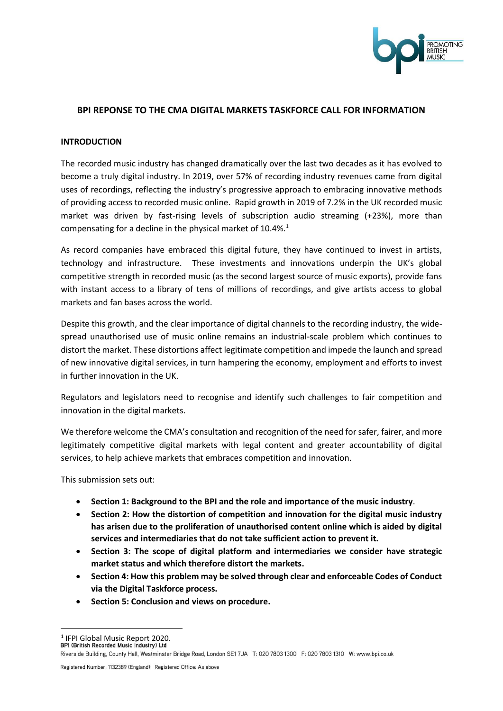

# **BPI REPONSE TO THE CMA DIGITAL MARKETS TASKFORCE CALL FOR INFORMATION**

#### **INTRODUCTION**

The recorded music industry has changed dramatically over the last two decades as it has evolved to become a truly digital industry. In 2019, over 57% of recording industry revenues came from digital uses of recordings, reflecting the industry's progressive approach to embracing innovative methods of providing access to recorded music online. Rapid growth in 2019 of 7.2% in the UK recorded music market was driven by fast-rising levels of subscription audio streaming (+23%), more than compensating for a decline in the physical market of 10.4%.<sup>1</sup>

As record companies have embraced this digital future, they have continued to invest in artists, technology and infrastructure. These investments and innovations underpin the UK's global competitive strength in recorded music (as the second largest source of music exports), provide fans with instant access to a library of tens of millions of recordings, and give artists access to global markets and fan bases across the world.

Despite this growth, and the clear importance of digital channels to the recording industry, the widespread unauthorised use of music online remains an industrial-scale problem which continues to distort the market. These distortions affect legitimate competition and impede the launch and spread of new innovative digital services, in turn hampering the economy, employment and efforts to invest in further innovation in the UK.

Regulators and legislators need to recognise and identify such challenges to fair competition and innovation in the digital markets.

We therefore welcome the CMA's consultation and recognition of the need for safer, fairer, and more legitimately competitive digital markets with legal content and greater accountability of digital services, to help achieve markets that embraces competition and innovation.

This submission sets out:

- **Section 1: Background to the BPI and the role and importance of the music industry**.
- **Section 2: How the distortion of competition and innovation for the digital music industry has arisen due to the proliferation of unauthorised content online which is aided by digital services and intermediaries that do not take sufficient action to prevent it.**
- **Section 3: The scope of digital platform and intermediaries we consider have strategic market status and which therefore distort the markets.**
- **Section 4: How this problem may be solved through clear and enforceable Codes of Conduct via the Digital Taskforce process.**
- **Section 5: Conclusion and views on procedure.**

<sup>1</sup> IFPI Global Music Report 2020.

Riverside Building, County Hall, Westminster Bridge Road, London SE1 7JA T: 020 7803 1300 F: 020 7803 1310 W: www.bpi.co.uk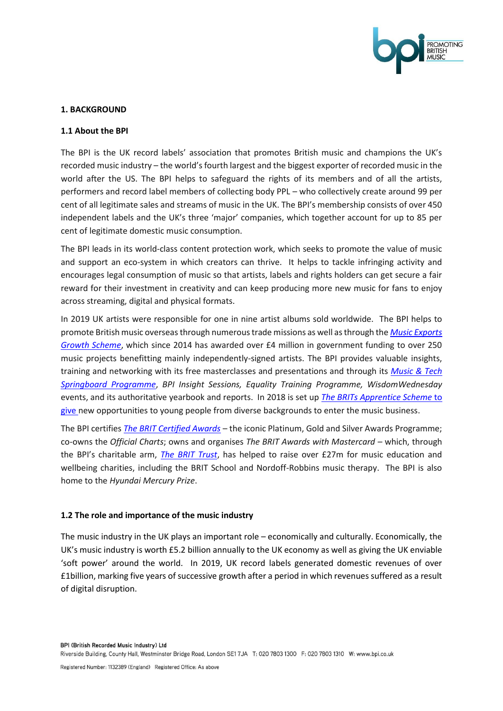

# **1. BACKGROUND**

#### **1.1 About the BPI**

The BPI is the UK record labels' association that promotes British music and champions the UK's recorded music industry – the world's fourth largest and the biggest exporter of recorded music in the world after the US. The BPI helps to safeguard the rights of its members and of all the artists, performers and record label members of collecting body PPL – who collectively create around 99 per cent of all legitimate sales and streams of music in the UK. The BPI's membership consists of over 450 independent labels and the UK's three 'major' companies, which together account for up to 85 per cent of legitimate domestic music consumption.

The BPI leads in its world-class content protection work, which seeks to promote the value of music and support an eco-system in which creators can thrive. It helps to tackle infringing activity and encourages legal consumption of music so that artists, labels and rights holders can get secure a fair reward for their investment in creativity and can keep producing more new music for fans to enjoy across streaming, digital and physical formats.

In 2019 UK artists were responsible for one in nine artist albums sold worldwide. The BPI helps to promote British music overseas through numerous trade missions as well as through the *[Music Exports](https://www.bpi.co.uk/news-analysis/music-export-growth-scheme/)  [Growth Scheme](https://www.bpi.co.uk/news-analysis/music-export-growth-scheme/)*, which since 2014 has awarded over £4 million in government funding to over 250 music projects benefitting mainly independently-signed artists. The BPI provides valuable insights, training and networking with its free masterclasses and presentations and through its *[Music & Tech](https://www.bpi.co.uk/the-music-tech-springboard-programme/)  [Springboard Programme](https://www.bpi.co.uk/the-music-tech-springboard-programme/)*, *BPI Insight Sessions, Equality Training Programme, WisdomWednesday*  events, and its authoritative yearbook and reports. In 2018 is set up *[The BRITs Apprentice Scheme](http://www.brittrust.co.uk/apprenticeships/)* to give new opportunities to young people from diverse backgrounds to enter the music business.

The BPI certifies *[The BRIT Certified Awards](https://www.bpi.co.uk/brit-certified/)* – the iconic Platinum, Gold and Silver Awards Programme; co-owns the *Official Charts*; owns and organises *The BRIT Awards with Mastercard –* which, through the BPI's charitable arm, *[The BRIT Trust](http://www.brittrust.co.uk/)*, has helped to raise over £27m for music education and wellbeing charities, including the BRIT School and Nordoff-Robbins music therapy. The BPI is also home to the *Hyundai Mercury Prize*.

#### **1.2 The role and importance of the music industry**

The music industry in the UK plays an important role – economically and culturally. Economically, the UK's music industry is worth £5.2 billion annually to the UK economy as well as giving the UK enviable 'soft power' around the world. In 2019, UK record labels generated domestic revenues of over £1billion, marking five years of successive growth after a period in which revenues suffered as a result of digital disruption.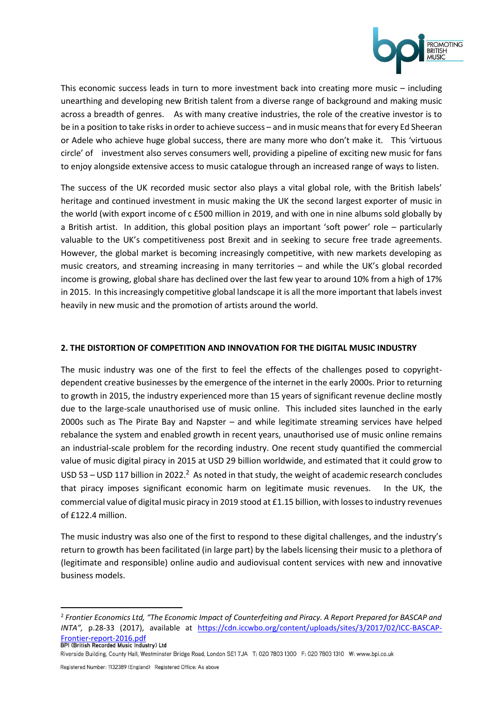

This economic success leads in turn to more investment back into creating more music – including unearthing and developing new British talent from a diverse range of background and making music across a breadth of genres. As with many creative industries, the role of the creative investor is to be in a position to take risks in order to achieve success – and in music means that for every Ed Sheeran or Adele who achieve huge global success, there are many more who don't make it. This 'virtuous circle' of investment also serves consumers well, providing a pipeline of exciting new music for fans to enjoy alongside extensive access to music catalogue through an increased range of ways to listen.

The success of the UK recorded music sector also plays a vital global role, with the British labels' heritage and continued investment in music making the UK the second largest exporter of music in the world (with export income of c £500 million in 2019, and with one in nine albums sold globally by a British artist. In addition, this global position plays an important 'soft power' role – particularly valuable to the UK's competitiveness post Brexit and in seeking to secure free trade agreements. However, the global market is becoming increasingly competitive, with new markets developing as music creators, and streaming increasing in many territories – and while the UK's global recorded income is growing, global share has declined over the last few year to around 10% from a high of 17% in 2015. In this increasingly competitive global landscape it is all the more important that labels invest heavily in new music and the promotion of artists around the world.

# **2. THE DISTORTION OF COMPETITION AND INNOVATION FOR THE DIGITAL MUSIC INDUSTRY**

The music industry was one of the first to feel the effects of the challenges posed to copyrightdependent creative businesses by the emergence of the internet in the early 2000s. Prior to returning to growth in 2015, the industry experienced more than 15 years of significant revenue decline mostly due to the large-scale unauthorised use of music online. This included sites launched in the early 2000s such as The Pirate Bay and Napster – and while legitimate streaming services have helped rebalance the system and enabled growth in recent years, unauthorised use of music online remains an industrial-scale problem for the recording industry. One recent study quantified the commercial value of music digital piracy in 2015 at USD 29 billion worldwide, and estimated that it could grow to USD 53 – USD 117 billion in 2022.<sup>2</sup> As noted in that study, the weight of academic research concludes that piracy imposes significant economic harm on legitimate music revenues. In the UK, the commercial value of digital music piracy in 2019 stood at £1.15 billion, with losses to industry revenues of £122.4 million.

The music industry was also one of the first to respond to these digital challenges, and the industry's return to growth has been facilitated (in large part) by the labels licensing their music to a plethora of (legitimate and responsible) online audio and audiovisual content services with new and innovative business models.

<sup>2</sup> *Frontier Economics Ltd, "The Economic Impact of Counterfeiting and Piracy. A Report Prepared for BASCAP and INTA",* p.28-33 (2017), available at [https://cdn.iccwbo.org/content/uploads/sites/3/2017/02/ICC-BASCAP-](https://cdn.iccwbo.org/content/uploads/sites/3/2017/02/ICC-BASCAP-Frontier-report-2016.pdf)**[Frontier-report-2016.pdf](https://cdn.iccwbo.org/content/uploads/sites/3/2017/02/ICC-BASCAP-Frontier-report-2016.pdf)**<br>BPI (British Recorded Music Industry) Ltd

Riverside Building, County Hall, Westminster Bridge Road, London SE1 7JA T: 020 7803 1300 F: 020 7803 1310 W: www.bpi.co.uk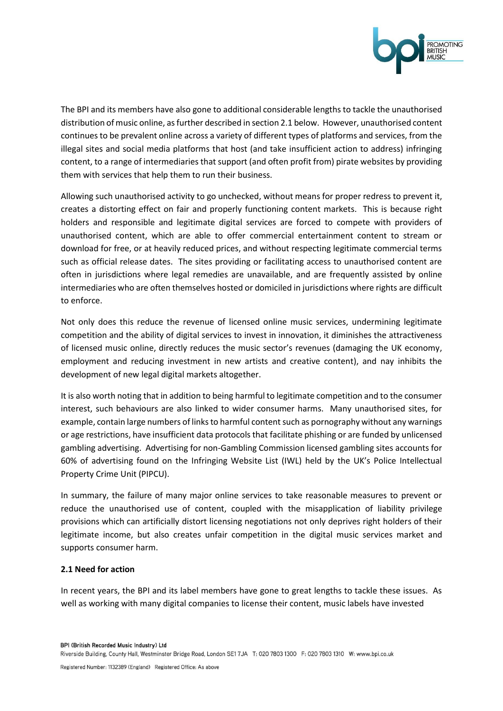

The BPI and its members have also gone to additional considerable lengths to tackle the unauthorised distribution of music online, as further described in section 2.1 below. However, unauthorised content continues to be prevalent online across a variety of different types of platforms and services, from the illegal sites and social media platforms that host (and take insufficient action to address) infringing content, to a range of intermediaries that support (and often profit from) pirate websites by providing them with services that help them to run their business.

Allowing such unauthorised activity to go unchecked, without means for proper redress to prevent it, creates a distorting effect on fair and properly functioning content markets. This is because right holders and responsible and legitimate digital services are forced to compete with providers of unauthorised content, which are able to offer commercial entertainment content to stream or download for free, or at heavily reduced prices, and without respecting legitimate commercial terms such as official release dates. The sites providing or facilitating access to unauthorised content are often in jurisdictions where legal remedies are unavailable, and are frequently assisted by online intermediaries who are often themselves hosted or domiciled in jurisdictions where rights are difficult to enforce.

Not only does this reduce the revenue of licensed online music services, undermining legitimate competition and the ability of digital services to invest in innovation, it diminishes the attractiveness of licensed music online, directly reduces the music sector's revenues (damaging the UK economy, employment and reducing investment in new artists and creative content), and nay inhibits the development of new legal digital markets altogether.

It is also worth noting that in addition to being harmful to legitimate competition and to the consumer interest, such behaviours are also linked to wider consumer harms. Many unauthorised sites, for example, contain large numbers of links to harmful content such as pornography without any warnings or age restrictions, have insufficient data protocols that facilitate phishing or are funded by unlicensed gambling advertising. Advertising for non-Gambling Commission licensed gambling sites accounts for 60% of advertising found on the Infringing Website List (IWL) held by the UK's Police Intellectual Property Crime Unit (PIPCU).

In summary, the failure of many major online services to take reasonable measures to prevent or reduce the unauthorised use of content, coupled with the misapplication of liability privilege provisions which can artificially distort licensing negotiations not only deprives right holders of their legitimate income, but also creates unfair competition in the digital music services market and supports consumer harm.

# **2.1 Need for action**

In recent years, the BPI and its label members have gone to great lengths to tackle these issues. As well as working with many digital companies to license their content, music labels have invested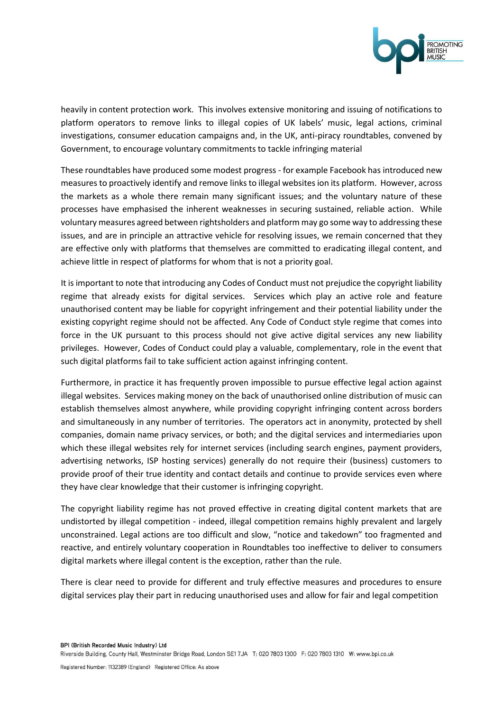

heavily in content protection work. This involves extensive monitoring and issuing of notifications to platform operators to remove links to illegal copies of UK labels' music, legal actions, criminal investigations, consumer education campaigns and, in the UK, anti-piracy roundtables, convened by Government, to encourage voluntary commitments to tackle infringing material

These roundtables have produced some modest progress - for example Facebook has introduced new measures to proactively identify and remove links to illegal websites ion its platform. However, across the markets as a whole there remain many significant issues; and the voluntary nature of these processes have emphasised the inherent weaknesses in securing sustained, reliable action. While voluntary measures agreed between rightsholders and platform may go some way to addressing these issues, and are in principle an attractive vehicle for resolving issues, we remain concerned that they are effective only with platforms that themselves are committed to eradicating illegal content, and achieve little in respect of platforms for whom that is not a priority goal.

It is important to note that introducing any Codes of Conduct must not prejudice the copyright liability regime that already exists for digital services. Services which play an active role and feature unauthorised content may be liable for copyright infringement and their potential liability under the existing copyright regime should not be affected. Any Code of Conduct style regime that comes into force in the UK pursuant to this process should not give active digital services any new liability privileges. However, Codes of Conduct could play a valuable, complementary, role in the event that such digital platforms fail to take sufficient action against infringing content.

Furthermore, in practice it has frequently proven impossible to pursue effective legal action against illegal websites. Services making money on the back of unauthorised online distribution of music can establish themselves almost anywhere, while providing copyright infringing content across borders and simultaneously in any number of territories. The operators act in anonymity, protected by shell companies, domain name privacy services, or both; and the digital services and intermediaries upon which these illegal websites rely for internet services (including search engines, payment providers, advertising networks, ISP hosting services) generally do not require their (business) customers to provide proof of their true identity and contact details and continue to provide services even where they have clear knowledge that their customer is infringing copyright.

The copyright liability regime has not proved effective in creating digital content markets that are undistorted by illegal competition - indeed, illegal competition remains highly prevalent and largely unconstrained. Legal actions are too difficult and slow, "notice and takedown" too fragmented and reactive, and entirely voluntary cooperation in Roundtables too ineffective to deliver to consumers digital markets where illegal content is the exception, rather than the rule.

There is clear need to provide for different and truly effective measures and procedures to ensure digital services play their part in reducing unauthorised uses and allow for fair and legal competition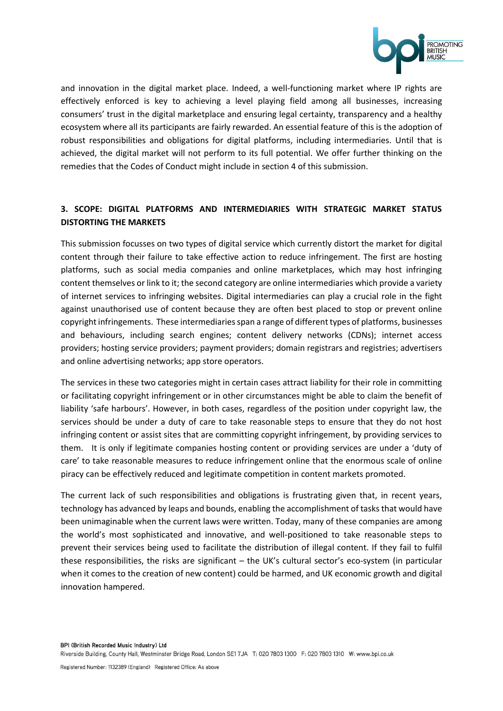

and innovation in the digital market place. Indeed, a well-functioning market where IP rights are effectively enforced is key to achieving a level playing field among all businesses, increasing consumers' trust in the digital marketplace and ensuring legal certainty, transparency and a healthy ecosystem where all its participants are fairly rewarded. An essential feature of this is the adoption of robust responsibilities and obligations for digital platforms, including intermediaries. Until that is achieved, the digital market will not perform to its full potential. We offer further thinking on the remedies that the Codes of Conduct might include in section 4 of this submission.

# **3. SCOPE: DIGITAL PLATFORMS AND INTERMEDIARIES WITH STRATEGIC MARKET STATUS DISTORTING THE MARKETS**

This submission focusses on two types of digital service which currently distort the market for digital content through their failure to take effective action to reduce infringement. The first are hosting platforms, such as social media companies and online marketplaces, which may host infringing content themselves or link to it; the second category are online intermediaries which provide a variety of internet services to infringing websites. Digital intermediaries can play a crucial role in the fight against unauthorised use of content because they are often best placed to stop or prevent online copyright infringements. These intermediaries span a range of different types of platforms, businesses and behaviours, including search engines; content delivery networks (CDNs); internet access providers; hosting service providers; payment providers; domain registrars and registries; advertisers and online advertising networks; app store operators.

The services in these two categories might in certain cases attract liability for their role in committing or facilitating copyright infringement or in other circumstances might be able to claim the benefit of liability 'safe harbours'. However, in both cases, regardless of the position under copyright law, the services should be under a duty of care to take reasonable steps to ensure that they do not host infringing content or assist sites that are committing copyright infringement, by providing services to them. It is only if legitimate companies hosting content or providing services are under a 'duty of care' to take reasonable measures to reduce infringement online that the enormous scale of online piracy can be effectively reduced and legitimate competition in content markets promoted.

The current lack of such responsibilities and obligations is frustrating given that, in recent years, technology has advanced by leaps and bounds, enabling the accomplishment of tasks that would have been unimaginable when the current laws were written. Today, many of these companies are among the world's most sophisticated and innovative, and well-positioned to take reasonable steps to prevent their services being used to facilitate the distribution of illegal content. If they fail to fulfil these responsibilities, the risks are significant – the UK's cultural sector's eco-system (in particular when it comes to the creation of new content) could be harmed, and UK economic growth and digital innovation hampered.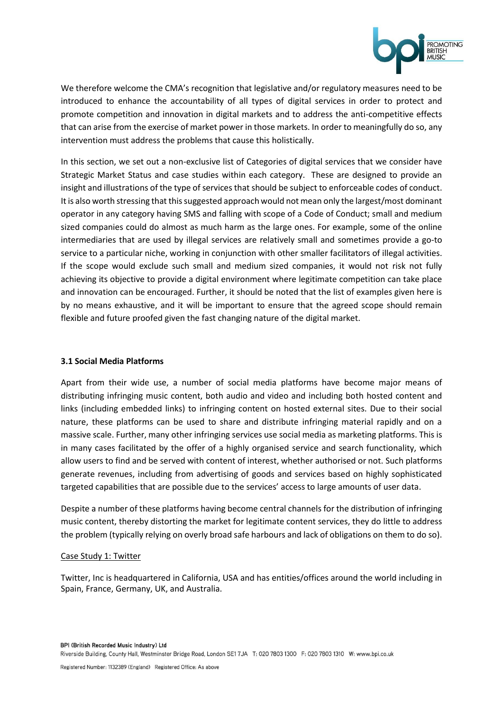

We therefore welcome the CMA's recognition that legislative and/or regulatory measures need to be introduced to enhance the accountability of all types of digital services in order to protect and promote competition and innovation in digital markets and to address the anti-competitive effects that can arise from the exercise of market power in those markets. In order to meaningfully do so, any intervention must address the problems that cause this holistically.

In this section, we set out a non-exclusive list of Categories of digital services that we consider have Strategic Market Status and case studies within each category. These are designed to provide an insight and illustrations of the type of services that should be subject to enforceable codes of conduct. It is also worth stressing that this suggested approach would not mean only the largest/most dominant operator in any category having SMS and falling with scope of a Code of Conduct; small and medium sized companies could do almost as much harm as the large ones. For example, some of the online intermediaries that are used by illegal services are relatively small and sometimes provide a go-to service to a particular niche, working in conjunction with other smaller facilitators of illegal activities. If the scope would exclude such small and medium sized companies, it would not risk not fully achieving its objective to provide a digital environment where legitimate competition can take place and innovation can be encouraged. Further, it should be noted that the list of examples given here is by no means exhaustive, and it will be important to ensure that the agreed scope should remain flexible and future proofed given the fast changing nature of the digital market.

#### **3.1 Social Media Platforms**

Apart from their wide use, a number of social media platforms have become major means of distributing infringing music content, both audio and video and including both hosted content and links (including embedded links) to infringing content on hosted external sites. Due to their social nature, these platforms can be used to share and distribute infringing material rapidly and on a massive scale. Further, many other infringing services use social media as marketing platforms. This is in many cases facilitated by the offer of a highly organised service and search functionality, which allow users to find and be served with content of interest, whether authorised or not. Such platforms generate revenues, including from advertising of goods and services based on highly sophisticated targeted capabilities that are possible due to the services' access to large amounts of user data.

Despite a number of these platforms having become central channels for the distribution of infringing music content, thereby distorting the market for legitimate content services, they do little to address the problem (typically relying on overly broad safe harbours and lack of obligations on them to do so).

#### Case Study 1: Twitter

Twitter, Inc is headquartered in California, USA and has entities/offices around the world including in Spain, France, Germany, UK, and Australia.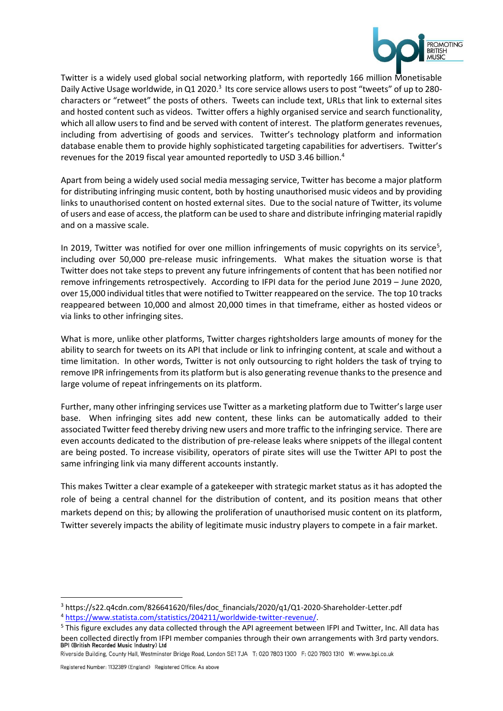

Twitter is a widely used global social networking platform, with reportedly 166 million Monetisable Daily Active Usage worldwide, in Q1 2020.<sup>3</sup> Its core service allows users to post "tweets" of up to 280characters or "retweet" the posts of others. Tweets can include text, URLs that link to external sites and hosted content such as videos. Twitter offers a highly organised service and search functionality, which all allow users to find and be served with content of interest. The platform generates revenues, including from advertising of goods and services. Twitter's technology platform and information database enable them to provide highly sophisticated targeting capabilities for advertisers. Twitter's revenues for the 2019 fiscal year amounted reportedly to USD 3.46 billion.<sup>4</sup>

Apart from being a widely used social media messaging service, Twitter has become a major platform for distributing infringing music content, both by hosting unauthorised music videos and by providing links to unauthorised content on hosted external sites. Due to the social nature of Twitter, its volume of users and ease of access, the platform can be used to share and distribute infringing material rapidly and on a massive scale.

In 2019, Twitter was notified for over one million infringements of music copyrights on its service<sup>5</sup>, including over 50,000 pre-release music infringements. What makes the situation worse is that Twitter does not take steps to prevent any future infringements of content that has been notified nor remove infringements retrospectively. According to IFPI data for the period June 2019 – June 2020, over 15,000 individual titles that were notified to Twitter reappeared on the service. The top 10 tracks reappeared between 10,000 and almost 20,000 times in that timeframe, either as hosted videos or via links to other infringing sites.

What is more, unlike other platforms, Twitter charges rightsholders large amounts of money for the ability to search for tweets on its API that include or link to infringing content, at scale and without a time limitation. In other words, Twitter is not only outsourcing to right holders the task of trying to remove IPR infringements from its platform but is also generating revenue thanks to the presence and large volume of repeat infringements on its platform.

Further, many other infringing services use Twitter as a marketing platform due to Twitter's large user base. When infringing sites add new content, these links can be automatically added to their associated Twitter feed thereby driving new users and more traffic to the infringing service. There are even accounts dedicated to the distribution of pre-release leaks where snippets of the illegal content are being posted. To increase visibility, operators of pirate sites will use the Twitter API to post the same infringing link via many different accounts instantly.

This makes Twitter a clear example of a gatekeeper with strategic market status as it has adopted the role of being a central channel for the distribution of content, and its position means that other markets depend on this; by allowing the proliferation of unauthorised music content on its platform, Twitter severely impacts the ability of legitimate music industry players to compete in a fair market.

<sup>3</sup> https://s22.q4cdn.com/826641620/files/doc\_financials/2020/q1/Q1-2020-Shareholder-Letter.pdf

<sup>4</sup> [https://www.statista.com/statistics/204211/worldwide-twitter-revenue/.](https://www.statista.com/statistics/204211/worldwide-twitter-revenue/)

<sup>5</sup> This figure excludes any data collected through the API agreement between IFPI and Twitter, Inc. All data has been collected directly from IFPI member companies through their own arrangements with 3rd party vendors.<br>BPI (British Recorded Music Industry) Ltd

Riverside Building, County Hall, Westminster Bridge Road, London SE1 7JA T: 020 7803 1300 F: 020 7803 1310 W: www.bpi.co.uk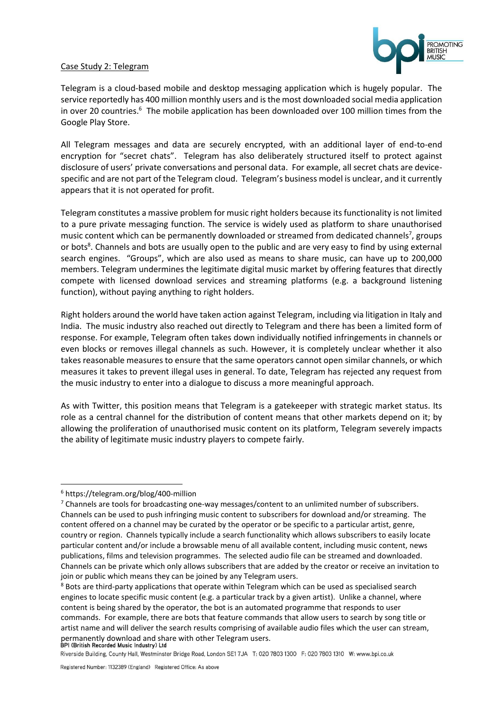#### Case Study 2: Telegram



Telegram is a cloud-based mobile and desktop messaging application which is hugely popular. The service reportedly has 400 million monthly users and is the most downloaded social media application in over 20 countries.<sup>6</sup> The mobile application has been downloaded over 100 million times from the Google Play Store.

All Telegram messages and data are securely encrypted, with an additional layer of end-to-end encryption for "secret chats". Telegram has also deliberately structured itself to protect against disclosure of users' private conversations and personal data. For example, all secret chats are devicespecific and are not part of the Telegram cloud. Telegram's business model is unclear, and it currently appears that it is not operated for profit.

Telegram constitutes a massive problem for music right holders because its functionality is not limited to a pure private messaging function. The service is widely used as platform to share unauthorised music content which can be permanently downloaded or streamed from dedicated channels<sup>7</sup>, groups or bots<sup>8</sup>. Channels and bots are usually open to the public and are very easy to find by using external search engines. "Groups", which are also used as means to share music, can have up to 200,000 members. Telegram undermines the legitimate digital music market by offering features that directly compete with licensed download services and streaming platforms (e.g. a background listening function), without paying anything to right holders.

Right holders around the world have taken action against Telegram, including via litigation in Italy and India. The music industry also reached out directly to Telegram and there has been a limited form of response. For example, Telegram often takes down individually notified infringements in channels or even blocks or removes illegal channels as such. However, it is completely unclear whether it also takes reasonable measures to ensure that the same operators cannot open similar channels, or which measures it takes to prevent illegal uses in general. To date, Telegram has rejected any request from the music industry to enter into a dialogue to discuss a more meaningful approach.

As with Twitter, this position means that Telegram is a gatekeeper with strategic market status. Its role as a central channel for the distribution of content means that other markets depend on it; by allowing the proliferation of unauthorised music content on its platform, Telegram severely impacts the ability of legitimate music industry players to compete fairly.

<sup>6</sup> <https://telegram.org/blog/400-million>

 $7$  Channels are tools for broadcasting one-way messages/content to an unlimited number of subscribers. Channels can be used to push infringing music content to subscribers for download and/or streaming. The content offered on a channel may be curated by the operator or be specific to a particular artist, genre, country or region. Channels typically include a search functionality which allows subscribers to easily locate particular content and/or include a browsable menu of all available content, including music content, news publications, films and television programmes. The selected audio file can be streamed and downloaded. Channels can be private which only allows subscribers that are added by the creator or receive an invitation to join or public which means they can be joined by any Telegram users.

<sup>&</sup>lt;sup>8</sup> Bots are third-party applications that operate within Telegram which can be used as specialised search engines to locate specific music content (e.g. a particular track by a given artist). Unlike a channel, where content is being shared by the operator, the bot is an automated programme that responds to user commands. For example, there are bots that feature commands that allow users to search by song title or artist name and will deliver the search results comprising of available audio files which the user can stream, permanently download and share with other Telegram users.<br>BPI (British Recorded Music Industry) Ltd

Riverside Building, County Hall, Westminster Bridge Road, London SE1 7JA T: 020 7803 1300 F: 020 7803 1310 W: www.bpi.co.uk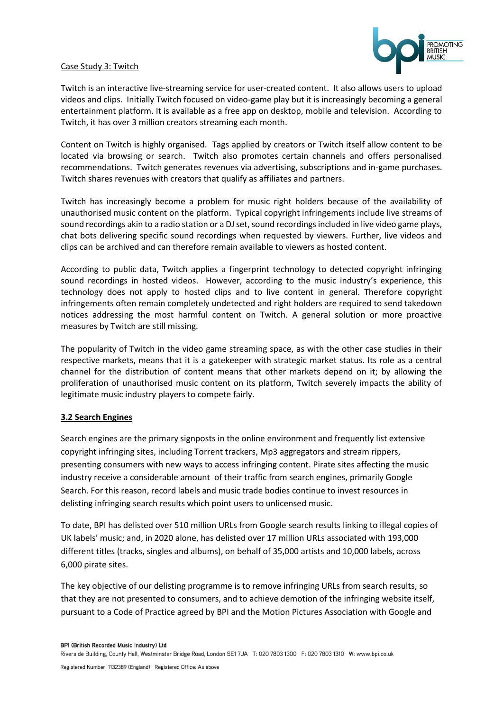

#### Case Study 3: Twitch

Twitch is an interactive live-streaming service for user-created content. It also allows users to upload videos and clips. Initially Twitch focused on video-game play but it is increasingly becoming a general entertainment platform. It is available as a free app on desktop, mobile and television. According to Twitch, it has over 3 million creators streaming each month.

Content on Twitch is highly organised. Tags applied by creators or Twitch itself allow content to be located via browsing or search. Twitch also promotes certain channels and offers personalised recommendations. Twitch generates revenues via advertising, subscriptions and in-game purchases. Twitch shares revenues with creators that qualify as affiliates and partners.

Twitch has increasingly become a problem for music right holders because of the availability of unauthorised music content on the platform. Typical copyright infringements include live streams of sound recordings akin to a radio station or a DJ set, sound recordings included in live video game plays, chat bots delivering specific sound recordings when requested by viewers. Further, live videos and clips can be archived and can therefore remain available to viewers as hosted content.

According to public data, Twitch applies a fingerprint technology to detected copyright infringing sound recordings in hosted videos. However, according to the music industry's experience, this technology does not apply to hosted clips and to live content in general. Therefore copyright infringements often remain completely undetected and right holders are required to send takedown notices addressing the most harmful content on Twitch. A general solution or more proactive measures by Twitch are still missing.

The popularity of Twitch in the video game streaming space, as with the other case studies in their respective markets, means that it is a gatekeeper with strategic market status. Its role as a central channel for the distribution of content means that other markets depend on it; by allowing the proliferation of unauthorised music content on its platform, Twitch severely impacts the ability of legitimate music industry players to compete fairly.

#### **3.2 Search Engines**

Search engines are the primary signposts in the online environment and frequently list extensive copyright infringing sites, including Torrent trackers, Mp3 aggregators and stream rippers, presenting consumers with new ways to access infringing content. Pirate sites affecting the music industry receive a considerable amount of their traffic from search engines, primarily Google Search. For this reason, record labels and music trade bodies continue to invest resources in delisting infringing search results which point users to unlicensed music.

To date, BPI has delisted over 510 million URLs from Google search results linking to illegal copies of UK labels' music; and, in 2020 alone, has delisted over 17 million URLs associated with 193,000 different titles (tracks, singles and albums), on behalf of 35,000 artists and 10,000 labels, across 6,000 pirate sites.

The key objective of our delisting programme is to remove infringing URLs from search results, so that they are not presented to consumers, and to achieve demotion of the infringing website itself, pursuant to a Code of Practice agreed by BPI and the Motion Pictures Association with Google and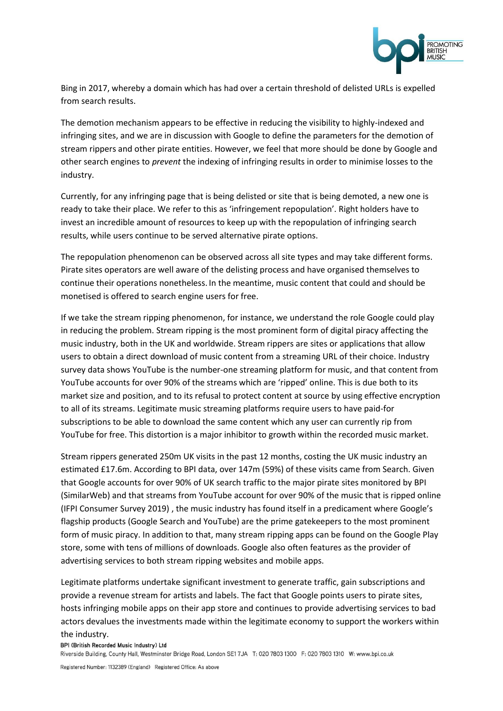

Bing in 2017, whereby a domain which has had over a certain threshold of delisted URLs is expelled from search results.

The demotion mechanism appears to be effective in reducing the visibility to highly-indexed and infringing sites, and we are in discussion with Google to define the parameters for the demotion of stream rippers and other pirate entities. However, we feel that more should be done by Google and other search engines to *prevent* the indexing of infringing results in order to minimise losses to the industry.

Currently, for any infringing page that is being delisted or site that is being demoted, a new one is ready to take their place. We refer to this as 'infringement repopulation'. Right holders have to invest an incredible amount of resources to keep up with the repopulation of infringing search results, while users continue to be served alternative pirate options.

The repopulation phenomenon can be observed across all site types and may take different forms. Pirate sites operators are well aware of the delisting process and have organised themselves to continue their operations nonetheless. In the meantime, music content that could and should be monetised is offered to search engine users for free.

If we take the stream ripping phenomenon, for instance, we understand the role Google could play in reducing the problem. Stream ripping is the most prominent form of digital piracy affecting the music industry, both in the UK and worldwide. Stream rippers are sites or applications that allow users to obtain a direct download of music content from a streaming URL of their choice. Industry survey data shows YouTube is the number-one streaming platform for music, and that content from YouTube accounts for over 90% of the streams which are 'ripped' online. This is due both to its market size and position, and to its refusal to protect content at source by using effective encryption to all of its streams. Legitimate music streaming platforms require users to have paid-for subscriptions to be able to download the same content which any user can currently rip from YouTube for free. This distortion is a major inhibitor to growth within the recorded music market.

Stream rippers generated 250m UK visits in the past 12 months, costing the UK music industry an estimated £17.6m. According to BPI data, over 147m (59%) of these visits came from Search. Given that Google accounts for over 90% of UK search traffic to the major pirate sites monitored by BPI (SimilarWeb) and that streams from YouTube account for over 90% of the music that is ripped online (IFPI Consumer Survey 2019) , the music industry has found itself in a predicament where Google's flagship products (Google Search and YouTube) are the prime gatekeepers to the most prominent form of music piracy. In addition to that, many stream ripping apps can be found on the Google Play store, some with tens of millions of downloads. Google also often features as the provider of advertising services to both stream ripping websites and mobile apps.

Legitimate platforms undertake significant investment to generate traffic, gain subscriptions and provide a revenue stream for artists and labels. The fact that Google points users to pirate sites, hosts infringing mobile apps on their app store and continues to provide advertising services to bad actors devalues the investments made within the legitimate economy to support the workers within

# the industry.

BPI (British Recorded Music Industry) Ltd

Riverside Building, County Hall, Westminster Bridge Road, London SE1 7JA T: 020 7803 1300 F: 020 7803 1310 W: www.bpi.co.uk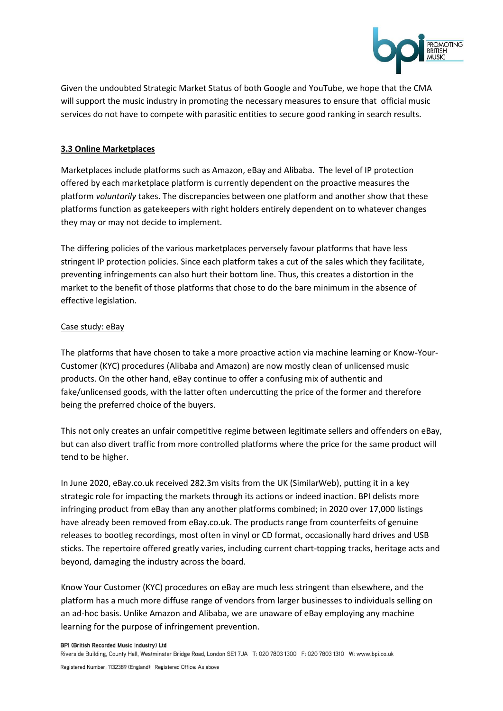

Given the undoubted Strategic Market Status of both Google and YouTube, we hope that the CMA will support the music industry in promoting the necessary measures to ensure that official music services do not have to compete with parasitic entities to secure good ranking in search results.

# **3.3 Online Marketplaces**

Marketplaces include platforms such as Amazon, eBay and Alibaba. The level of IP protection offered by each marketplace platform is currently dependent on the proactive measures the platform *voluntarily* takes. The discrepancies between one platform and another show that these platforms function as gatekeepers with right holders entirely dependent on to whatever changes they may or may not decide to implement.

The differing policies of the various marketplaces perversely favour platforms that have less stringent IP protection policies. Since each platform takes a cut of the sales which they facilitate, preventing infringements can also hurt their bottom line. Thus, this creates a distortion in the market to the benefit of those platforms that chose to do the bare minimum in the absence of effective legislation.

#### Case study: eBay

The platforms that have chosen to take a more proactive action via machine learning or Know-Your-Customer (KYC) procedures (Alibaba and Amazon) are now mostly clean of unlicensed music products. On the other hand, eBay continue to offer a confusing mix of authentic and fake/unlicensed goods, with the latter often undercutting the price of the former and therefore being the preferred choice of the buyers.

This not only creates an unfair competitive regime between legitimate sellers and offenders on eBay, but can also divert traffic from more controlled platforms where the price for the same product will tend to be higher.

In June 2020, eBay.co.uk received 282.3m visits from the UK (SimilarWeb), putting it in a key strategic role for impacting the markets through its actions or indeed inaction. BPI delists more infringing product from eBay than any another platforms combined; in 2020 over 17,000 listings have already been removed from eBay.co.uk. The products range from counterfeits of genuine releases to bootleg recordings, most often in vinyl or CD format, occasionally hard drives and USB sticks. The repertoire offered greatly varies, including current chart-topping tracks, heritage acts and beyond, damaging the industry across the board.

Know Your Customer (KYC) procedures on eBay are much less stringent than elsewhere, and the platform has a much more diffuse range of vendors from larger businesses to individuals selling on an ad-hoc basis. Unlike Amazon and Alibaba, we are unaware of eBay employing any machine learning for the purpose of infringement prevention.

BPI (British Recorded Music Industry) Ltd

Riverside Building, County Hall, Westminster Bridge Road, London SE1 7JA T: 020 7803 1300 F: 020 7803 1310 W: www.bpi.co.uk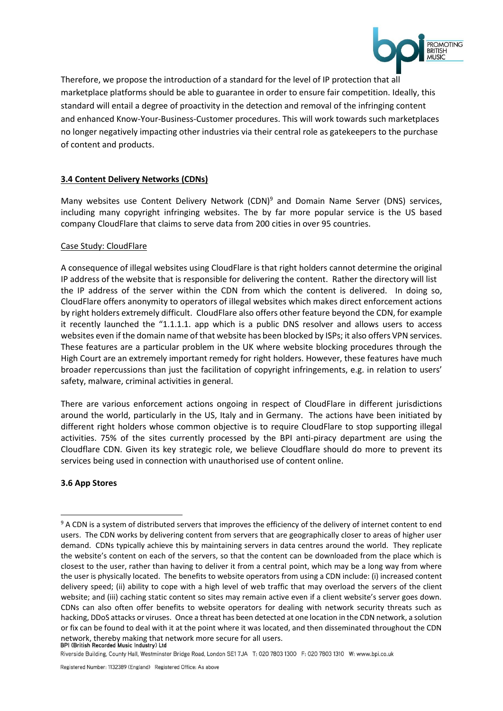

Therefore, we propose the introduction of a standard for the level of IP protection that all marketplace platforms should be able to guarantee in order to ensure fair competition. Ideally, this standard will entail a degree of proactivity in the detection and removal of the infringing content and enhanced Know-Your-Business-Customer procedures. This will work towards such marketplaces no longer negatively impacting other industries via their central role as gatekeepers to the purchase of content and products.

# **3.4 Content Delivery Networks (CDNs)**

Many websites use Content Delivery Network (CDN)<sup>9</sup> and Domain Name Server (DNS) services, including many copyright infringing websites. The by far more popular service is the US based company CloudFlare that claims to serve data from 200 cities in over 95 countries.

#### Case Study: CloudFlare

A consequence of illegal websites using CloudFlare is that right holders cannot determine the original IP address of the website that is responsible for delivering the content. Rather the directory will list the IP address of the server within the CDN from which the content is delivered. In doing so, CloudFlare offers anonymity to operators of illegal websites which makes direct enforcement actions by right holders extremely difficult. CloudFlare also offers other feature beyond the CDN, for example it recently launched the "1.1.1.1. app which is a public DNS resolver and allows users to access websites even if the domain name of that website has been blocked by ISPs; it also offers VPN services. These features are a particular problem in the UK where website blocking procedures through the High Court are an extremely important remedy for right holders. However, these features have much broader repercussions than just the facilitation of copyright infringements, e.g. in relation to users' safety, malware, criminal activities in general.

There are various enforcement actions ongoing in respect of CloudFlare in different jurisdictions around the world, particularly in the US, Italy and in Germany. The actions have been initiated by different right holders whose common objective is to require CloudFlare to stop supporting illegal activities. 75% of the sites currently processed by the BPI anti-piracy department are using the Cloudflare CDN. Given its key strategic role, we believe Cloudflare should do more to prevent its services being used in connection with unauthorised use of content online.

#### **3.6 App Stores**

<sup>&</sup>lt;sup>9</sup> A CDN is a system of distributed servers that improves the efficiency of the delivery of internet content to end users. The CDN works by delivering content from servers that are geographically closer to areas of higher user demand. CDNs typically achieve this by maintaining servers in data centres around the world. They replicate the website's content on each of the servers, so that the content can be downloaded from the place which is closest to the user, rather than having to deliver it from a central point, which may be a long way from where the user is physically located. The benefits to website operators from using a CDN include: (i) increased content delivery speed; (ii) ability to cope with a high level of web traffic that may overload the servers of the client website; and (iii) caching static content so sites may remain active even if a client website's server goes down. CDNs can also often offer benefits to website operators for dealing with network security threats such as hacking, DDoS attacks or viruses. Once a threat has been detected at one location in the CDN network, a solution or fix can be found to deal with it at the point where it was located, and then disseminated throughout the CDN network, thereby making that network more secure for all users.<br>BPI (British Recorded Music Industry) Ltd

Riverside Building, County Hall, Westminster Bridge Road, London SE1 7JA T: 020 7803 1300 F: 020 7803 1310 W: www.bpi.co.uk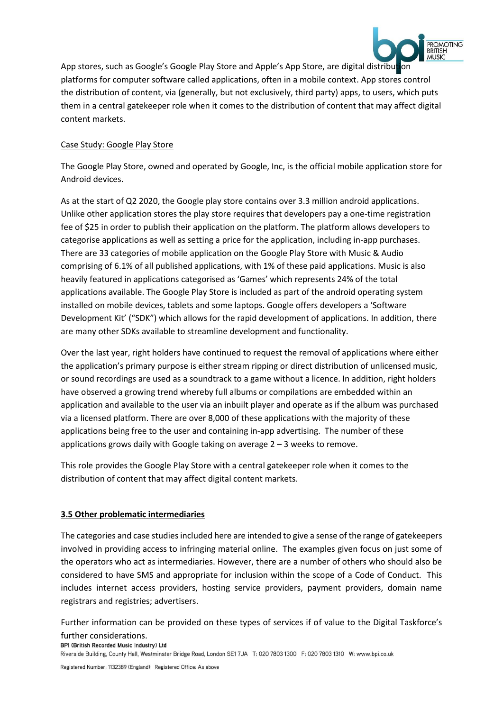

App stores, such as Google's Google Play Store and Apple's App Store, are digital distribution platforms for computer software called applications, often in a mobile context. App stores control the distribution of content, via (generally, but not exclusively, third party) apps, to users, which puts them in a central gatekeeper role when it comes to the distribution of content that may affect digital content markets.

# Case Study: Google Play Store

The Google Play Store, owned and operated by Google, Inc, is the official mobile application store for Android devices.

As at the start of Q2 2020, the Google play store contains over 3.3 million android applications. Unlike other application stores the play store requires that developers pay a one-time registration fee of \$25 in order to publish their application on the platform. The platform allows developers to categorise applications as well as setting a price for the application, including in-app purchases. There are 33 categories of mobile application on the Google Play Store with Music & Audio comprising of 6.1% of all published applications, with 1% of these paid applications. Music is also heavily featured in applications categorised as 'Games' which represents 24% of the total applications available. The Google Play Store is included as part of the android operating system installed on mobile devices, tablets and some laptops. Google offers developers a 'Software Development Kit' ("SDK") which allows for the rapid development of applications. In addition, there are many other SDKs available to streamline development and functionality.

Over the last year, right holders have continued to request the removal of applications where either the application's primary purpose is either stream ripping or direct distribution of unlicensed music, or sound recordings are used as a soundtrack to a game without a licence. In addition, right holders have observed a growing trend whereby full albums or compilations are embedded within an application and available to the user via an inbuilt player and operate as if the album was purchased via a licensed platform. There are over 8,000 of these applications with the majority of these applications being free to the user and containing in-app advertising. The number of these applications grows daily with Google taking on average 2 – 3 weeks to remove.

This role provides the Google Play Store with a central gatekeeper role when it comes to the distribution of content that may affect digital content markets.

# **3.5 Other problematic intermediaries**

The categories and case studies included here are intended to give a sense of the range of gatekeepers involved in providing access to infringing material online. The examples given focus on just some of the operators who act as intermediaries. However, there are a number of others who should also be considered to have SMS and appropriate for inclusion within the scope of a Code of Conduct. This includes internet access providers, hosting service providers, payment providers, domain name registrars and registries; advertisers.

Further information can be provided on these types of services if of value to the Digital Taskforce's

# further considerations.<br>BPI (British Recorded Music Industry) Ltd

Riverside Building, County Hall, Westminster Bridge Road, London SE1 7JA T: 020 7803 1300 F: 020 7803 1310 W: www.bpi.co.uk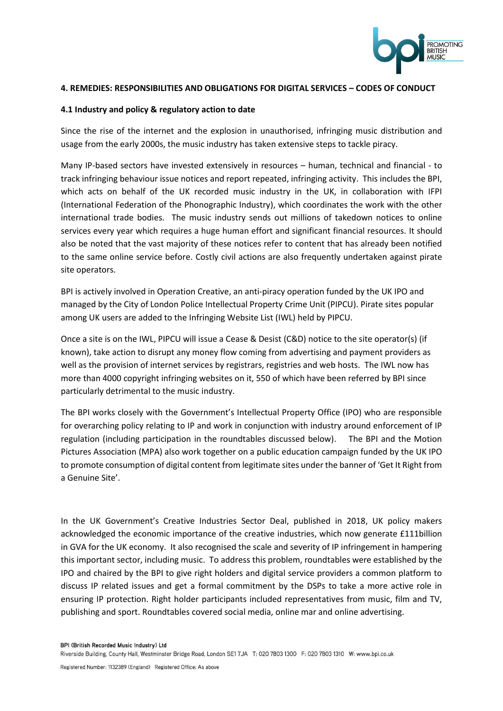

#### **4. REMEDIES: RESPONSIBILITIES AND OBLIGATIONS FOR DIGITAL SERVICES – CODES OF CONDUCT**

#### **4.1 Industry and policy & regulatory action to date**

Since the rise of the internet and the explosion in unauthorised, infringing music distribution and usage from the early 2000s, the music industry has taken extensive steps to tackle piracy.

Many IP-based sectors have invested extensively in resources – human, technical and financial - to track infringing behaviour issue notices and report repeated, infringing activity. This includes the BPI, which acts on behalf of the UK recorded music industry in the UK, in collaboration with IFPI (International Federation of the Phonographic Industry), which coordinates the work with the other international trade bodies. The music industry sends out millions of takedown notices to online services every year which requires a huge human effort and significant financial resources. It should also be noted that the vast majority of these notices refer to content that has already been notified to the same online service before. Costly civil actions are also frequently undertaken against pirate site operators.

BPI is actively involved in Operation Creative, an anti-piracy operation funded by the UK IPO and managed by the City of London Police Intellectual Property Crime Unit (PIPCU). Pirate sites popular among UK users are added to the Infringing Website List (IWL) held by PIPCU.

Once a site is on the IWL, PIPCU will issue a Cease & Desist (C&D) notice to the site operator(s) (if known), take action to disrupt any money flow coming from advertising and payment providers as well as the provision of internet services by registrars, registries and web hosts. The IWL now has more than 4000 copyright infringing websites on it, 550 of which have been referred by BPI since particularly detrimental to the music industry.

The BPI works closely with the Government's Intellectual Property Office (IPO) who are responsible for overarching policy relating to IP and work in conjunction with industry around enforcement of IP regulation (including participation in the roundtables discussed below). The BPI and the Motion Pictures Association (MPA) also work together on a public education campaign funded by the UK IPO to promote consumption of digital content from legitimate sites under the banner of 'Get It Right from a Genuine Site'.

In the UK Government's Creative Industries Sector Deal, published in 2018, UK policy makers acknowledged the economic importance of the creative industries, which now generate £111billion in GVA for the UK economy. It also recognised the scale and severity of IP infringement in hampering this important sector, including music. To address this problem, roundtables were established by the IPO and chaired by the BPI to give right holders and digital service providers a common platform to discuss IP related issues and get a formal commitment by the DSPs to take a more active role in ensuring IP protection. Right holder participants included representatives from music, film and TV, publishing and sport. Roundtables covered social media, online mar and online advertising.

Riverside Building, County Hall, Westminster Bridge Road, London SE1 7JA T: 020 7803 1300 F: 020 7803 1310 W: www.bpi.co.uk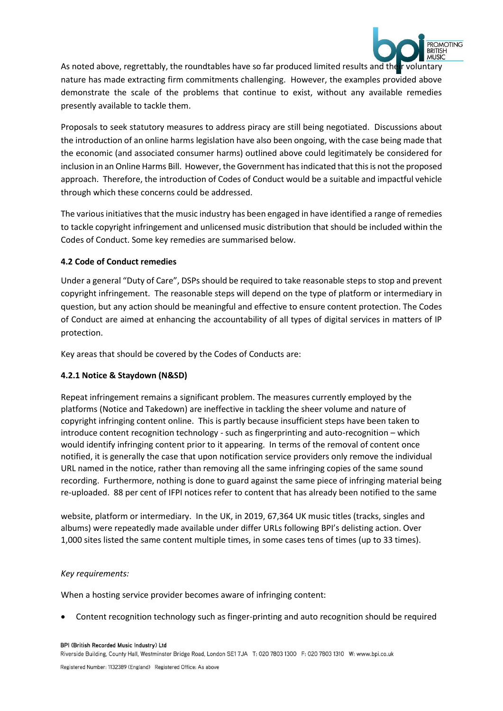

As noted above, regrettably, the roundtables have so far produced limited results and their voluntary nature has made extracting firm commitments challenging. However, the examples provided above demonstrate the scale of the problems that continue to exist, without any available remedies presently available to tackle them.

Proposals to seek statutory measures to address piracy are still being negotiated. Discussions about the introduction of an online harms legislation have also been ongoing, with the case being made that the economic (and associated consumer harms) outlined above could legitimately be considered for inclusion in an Online Harms Bill. However, the Government has indicated that this is not the proposed approach. Therefore, the introduction of Codes of Conduct would be a suitable and impactful vehicle through which these concerns could be addressed.

The various initiatives that the music industry has been engaged in have identified a range of remedies to tackle copyright infringement and unlicensed music distribution that should be included within the Codes of Conduct. Some key remedies are summarised below.

# **4.2 Code of Conduct remedies**

Under a general "Duty of Care", DSPs should be required to take reasonable steps to stop and prevent copyright infringement. The reasonable steps will depend on the type of platform or intermediary in question, but any action should be meaningful and effective to ensure content protection. The Codes of Conduct are aimed at enhancing the accountability of all types of digital services in matters of IP protection.

Key areas that should be covered by the Codes of Conducts are:

# **4.2.1 Notice & Staydown (N&SD)**

Repeat infringement remains a significant problem. The measures currently employed by the platforms (Notice and Takedown) are ineffective in tackling the sheer volume and nature of copyright infringing content online. This is partly because insufficient steps have been taken to introduce content recognition technology - such as fingerprinting and auto-recognition – which would identify infringing content prior to it appearing. In terms of the removal of content once notified, it is generally the case that upon notification service providers only remove the individual URL named in the notice, rather than removing all the same infringing copies of the same sound recording. Furthermore, nothing is done to guard against the same piece of infringing material being re-uploaded. 88 per cent of IFPI notices refer to content that has already been notified to the same

website, platform or intermediary. In the UK, in 2019, 67,364 UK music titles (tracks, singles and albums) were repeatedly made available under differ URLs following BPI's delisting action. Over 1,000 sites listed the same content multiple times, in some cases tens of times (up to 33 times).

#### *Key requirements:*

When a hosting service provider becomes aware of infringing content:

• Content recognition technology such as finger-printing and auto recognition should be required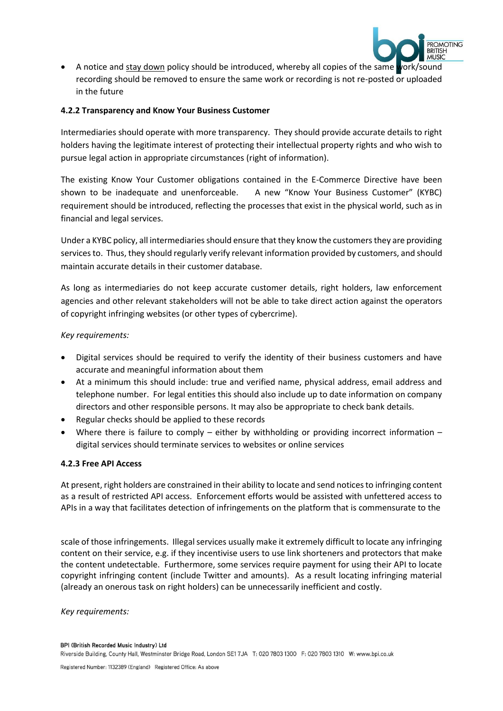

• A notice and stay down policy should be introduced, whereby all copies of the same work/sound recording should be removed to ensure the same work or recording is not re-posted or uploaded in the future

### **4.2.2 Transparency and Know Your Business Customer**

Intermediaries should operate with more transparency. They should provide accurate details to right holders having the legitimate interest of protecting their intellectual property rights and who wish to pursue legal action in appropriate circumstances (right of information).

The existing Know Your Customer obligations contained in the E-Commerce Directive have been shown to be inadequate and unenforceable. A new "Know Your Business Customer" (KYBC) requirement should be introduced, reflecting the processes that exist in the physical world, such as in financial and legal services.

Under a KYBC policy, all intermediaries should ensure that they know the customers they are providing services to. Thus, they should regularly verify relevant information provided by customers, and should maintain accurate details in their customer database.

As long as intermediaries do not keep accurate customer details, right holders, law enforcement agencies and other relevant stakeholders will not be able to take direct action against the operators of copyright infringing websites (or other types of cybercrime).

# *Key requirements:*

- Digital services should be required to verify the identity of their business customers and have accurate and meaningful information about them
- At a minimum this should include: true and verified name, physical address, email address and telephone number. For legal entities this should also include up to date information on company directors and other responsible persons. It may also be appropriate to check bank details.
- Regular checks should be applied to these records
- Where there is failure to comply either by withholding or providing incorrect information digital services should terminate services to websites or online services

#### **4.2.3 Free API Access**

At present, right holders are constrained in their ability to locate and send notices to infringing content as a result of restricted API access. Enforcement efforts would be assisted with unfettered access to APIs in a way that facilitates detection of infringements on the platform that is commensurate to the

scale of those infringements. Illegal services usually make it extremely difficult to locate any infringing content on their service, e.g. if they incentivise users to use link shorteners and protectors that make the content undetectable. Furthermore, some services require payment for using their API to locate copyright infringing content (include Twitter and amounts). As a result locating infringing material (already an onerous task on right holders) can be unnecessarily inefficient and costly.

*Key requirements:*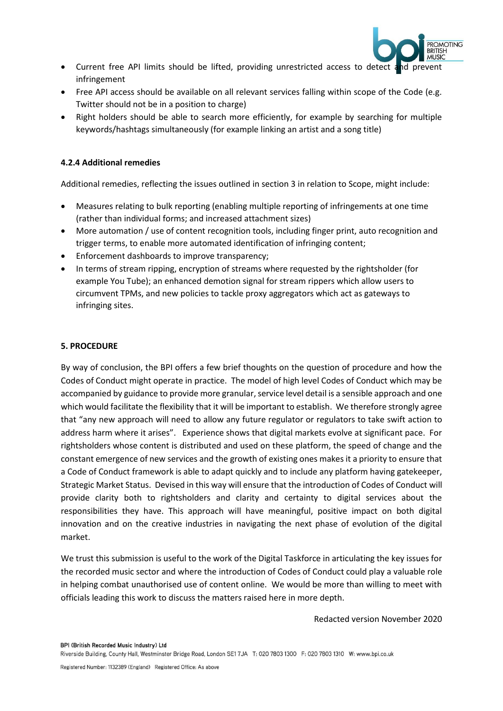

- Current free API limits should be lifted, providing unrestricted access to detect and prevent infringement
- Free API access should be available on all relevant services falling within scope of the Code (e.g. Twitter should not be in a position to charge)
- Right holders should be able to search more efficiently, for example by searching for multiple keywords/hashtags simultaneously (for example linking an artist and a song title)

# **4.2.4 Additional remedies**

Additional remedies, reflecting the issues outlined in section 3 in relation to Scope, might include:

- Measures relating to bulk reporting (enabling multiple reporting of infringements at one time (rather than individual forms; and increased attachment sizes)
- More automation / use of content recognition tools, including finger print, auto recognition and trigger terms, to enable more automated identification of infringing content;
- Enforcement dashboards to improve transparency;
- In terms of stream ripping, encryption of streams where requested by the rightsholder (for example You Tube); an enhanced demotion signal for stream rippers which allow users to circumvent TPMs, and new policies to tackle proxy aggregators which act as gateways to infringing sites.

#### **5. PROCEDURE**

By way of conclusion, the BPI offers a few brief thoughts on the question of procedure and how the Codes of Conduct might operate in practice. The model of high level Codes of Conduct which may be accompanied by guidance to provide more granular, service level detail is a sensible approach and one which would facilitate the flexibility that it will be important to establish. We therefore strongly agree that "any new approach will need to allow any future regulator or regulators to take swift action to address harm where it arises". Experience shows that digital markets evolve at significant pace. For rightsholders whose content is distributed and used on these platform, the speed of change and the constant emergence of new services and the growth of existing ones makes it a priority to ensure that a Code of Conduct framework is able to adapt quickly and to include any platform having gatekeeper, Strategic Market Status. Devised in this way will ensure that the introduction of Codes of Conduct will provide clarity both to rightsholders and clarity and certainty to digital services about the responsibilities they have. This approach will have meaningful, positive impact on both digital innovation and on the creative industries in navigating the next phase of evolution of the digital market.

We trust this submission is useful to the work of the Digital Taskforce in articulating the key issues for the recorded music sector and where the introduction of Codes of Conduct could play a valuable role in helping combat unauthorised use of content online. We would be more than willing to meet with officials leading this work to discuss the matters raised here in more depth.

Redacted version November 2020